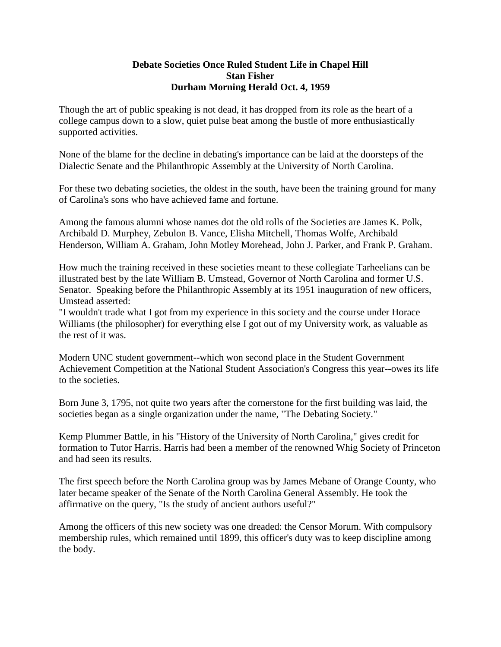## **Debate Societies Once Ruled Student Life in Chapel Hill Stan Fisher Durham Morning Herald Oct. 4, 1959**

Though the art of public speaking is not dead, it has dropped from its role as the heart of a college campus down to a slow, quiet pulse beat among the bustle of more enthusiastically supported activities.

None of the blame for the decline in debating's importance can be laid at the doorsteps of the Dialectic Senate and the Philanthropic Assembly at the University of North Carolina.

For these two debating societies, the oldest in the south, have been the training ground for many of Carolina's sons who have achieved fame and fortune.

Among the famous alumni whose names dot the old rolls of the Societies are James K. Polk, Archibald D. Murphey, Zebulon B. Vance, Elisha Mitchell, Thomas Wolfe, Archibald Henderson, William A. Graham, John Motley Morehead, John J. Parker, and Frank P. Graham.

How much the training received in these societies meant to these collegiate Tarheelians can be illustrated best by the late William B. Umstead, Governor of North Carolina and former U.S. Senator. Speaking before the Philanthropic Assembly at its 1951 inauguration of new officers, Umstead asserted:

"I wouldn't trade what I got from my experience in this society and the course under Horace Williams (the philosopher) for everything else I got out of my University work, as valuable as the rest of it was.

Modern UNC student government--which won second place in the Student Government Achievement Competition at the National Student Association's Congress this year--owes its life to the societies.

Born June 3, 1795, not quite two years after the cornerstone for the first building was laid, the societies began as a single organization under the name, "The Debating Society."

Kemp Plummer Battle, in his "History of the University of North Carolina," gives credit for formation to Tutor Harris. Harris had been a member of the renowned Whig Society of Princeton and had seen its results.

The first speech before the North Carolina group was by James Mebane of Orange County, who later became speaker of the Senate of the North Carolina General Assembly. He took the affirmative on the query, "Is the study of ancient authors useful?"

Among the officers of this new society was one dreaded: the Censor Morum. With compulsory membership rules, which remained until 1899, this officer's duty was to keep discipline among the body.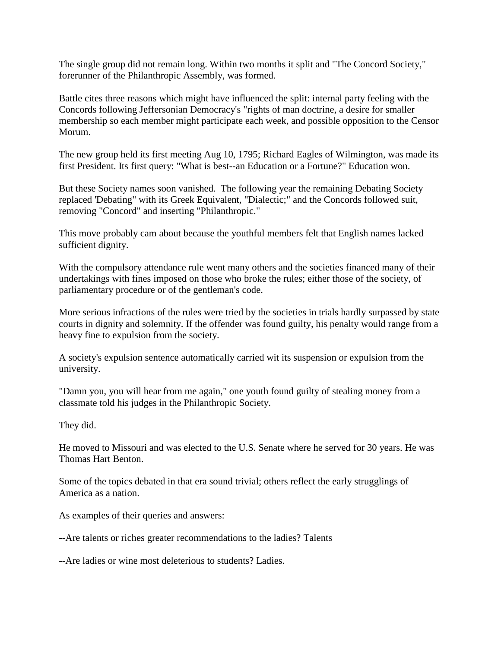The single group did not remain long. Within two months it split and "The Concord Society," forerunner of the Philanthropic Assembly, was formed.

Battle cites three reasons which might have influenced the split: internal party feeling with the Concords following Jeffersonian Democracy's "rights of man doctrine, a desire for smaller membership so each member might participate each week, and possible opposition to the Censor Morum.

The new group held its first meeting Aug 10, 1795; Richard Eagles of Wilmington, was made its first President. Its first query: "What is best--an Education or a Fortune?" Education won.

But these Society names soon vanished. The following year the remaining Debating Society replaced 'Debating" with its Greek Equivalent, "Dialectic;" and the Concords followed suit, removing "Concord" and inserting "Philanthropic."

This move probably cam about because the youthful members felt that English names lacked sufficient dignity.

With the compulsory attendance rule went many others and the societies financed many of their undertakings with fines imposed on those who broke the rules; either those of the society, of parliamentary procedure or of the gentleman's code.

More serious infractions of the rules were tried by the societies in trials hardly surpassed by state courts in dignity and solemnity. If the offender was found guilty, his penalty would range from a heavy fine to expulsion from the society.

A society's expulsion sentence automatically carried wit its suspension or expulsion from the university.

"Damn you, you will hear from me again," one youth found guilty of stealing money from a classmate told his judges in the Philanthropic Society.

They did.

He moved to Missouri and was elected to the U.S. Senate where he served for 30 years. He was Thomas Hart Benton.

Some of the topics debated in that era sound trivial; others reflect the early strugglings of America as a nation.

As examples of their queries and answers:

--Are talents or riches greater recommendations to the ladies? Talents

--Are ladies or wine most deleterious to students? Ladies.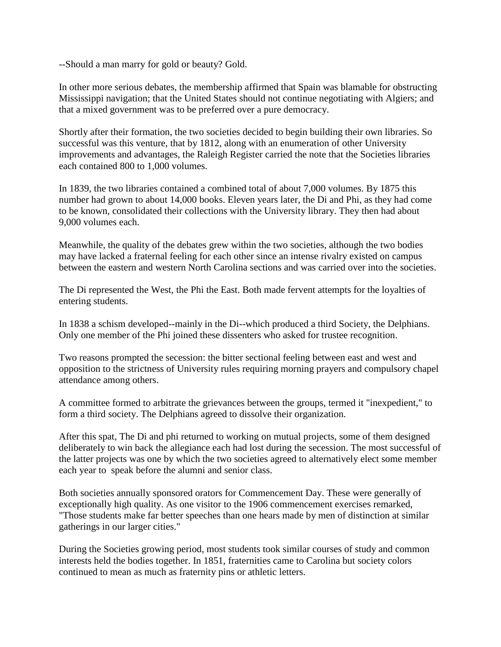--Should a man marry for gold or beauty? Gold.

In other more serious debates, the membership affirmed that Spain was blamable for obstructing Mississippi navigation; that the United States should not continue negotiating with Algiers; and that a mixed government was to be preferred over a pure democracy.

Shortly after their formation, the two societies decided to begin building their own libraries. So successful was this venture, that by 1812, along with an enumeration of other University improvements and advantages, the Raleigh Register carried the note that the Societies libraries each contained 800 to 1,000 volumes.

In 1839, the two libraries contained a combined total of about 7,000 volumes. By 1875 this number had grown to about 14,000 books. Eleven years later, the Di and Phi, as they had come to be known, consolidated their collections with the University library. They then had about 9,000 volumes each.

Meanwhile, the quality of the debates grew within the two societies, although the two bodies may have lacked a fraternal feeling for each other since an intense rivalry existed on campus between the eastern and western North Carolina sections and was carried over into the societies.

The Di represented the West, the Phi the East. Both made fervent attempts for the loyalties of entering students.

In 1838 a schism developed--mainly in the Di--which produced a third Society, the Delphians. Only one member of the Phi joined these dissenters who asked for trustee recognition.

Two reasons prompted the secession: the bitter sectional feeling between east and west and opposition to the strictness of University rules requiring morning prayers and compulsory chapel attendance among others.

A committee formed to arbitrate the grievances between the groups, termed it "inexpedient," to form a third society. The Delphians agreed to dissolve their organization.

After this spat, The Di and phi returned to working on mutual projects, some of them designed deliberately to win back the allegiance each had lost during the secession. The most successful of the latter projects was one by which the two societies agreed to alternatively elect some member each year to speak before the alumni and senior class.

Both societies annually sponsored orators for Commencement Day. These were generally of exceptionally high quality. As one visitor to the 1906 commencement exercises remarked, "Those students make far better speeches than one hears made by men of distinction at similar gatherings in our larger cities."

During the Societies growing period, most students took similar courses of study and common interests held the bodies together. In 1851, fraternities came to Carolina but society colors continued to mean as much as fraternity pins or athletic letters.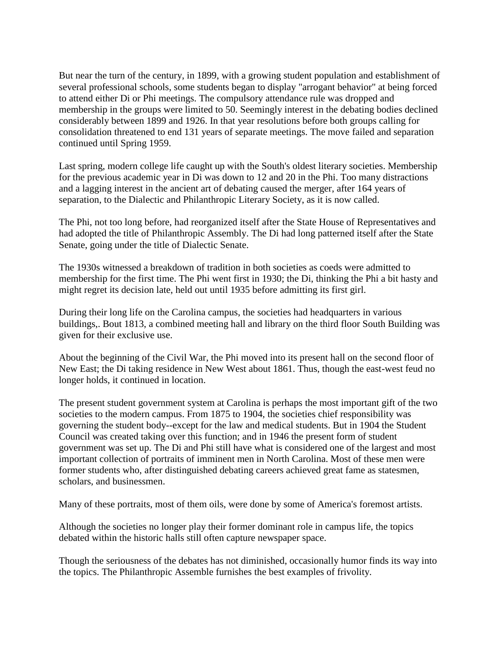But near the turn of the century, in 1899, with a growing student population and establishment of several professional schools, some students began to display "arrogant behavior" at being forced to attend either Di or Phi meetings. The compulsory attendance rule was dropped and membership in the groups were limited to 50. Seemingly interest in the debating bodies declined considerably between 1899 and 1926. In that year resolutions before both groups calling for consolidation threatened to end 131 years of separate meetings. The move failed and separation continued until Spring 1959.

Last spring, modern college life caught up with the South's oldest literary societies. Membership for the previous academic year in Di was down to 12 and 20 in the Phi. Too many distractions and a lagging interest in the ancient art of debating caused the merger, after 164 years of separation, to the Dialectic and Philanthropic Literary Society, as it is now called.

The Phi, not too long before, had reorganized itself after the State House of Representatives and had adopted the title of Philanthropic Assembly. The Di had long patterned itself after the State Senate, going under the title of Dialectic Senate.

The 1930s witnessed a breakdown of tradition in both societies as coeds were admitted to membership for the first time. The Phi went first in 1930; the Di, thinking the Phi a bit hasty and might regret its decision late, held out until 1935 before admitting its first girl.

During their long life on the Carolina campus, the societies had headquarters in various buildings,. Bout 1813, a combined meeting hall and library on the third floor South Building was given for their exclusive use.

About the beginning of the Civil War, the Phi moved into its present hall on the second floor of New East; the Di taking residence in New West about 1861. Thus, though the east-west feud no longer holds, it continued in location.

The present student government system at Carolina is perhaps the most important gift of the two societies to the modern campus. From 1875 to 1904, the societies chief responsibility was governing the student body--except for the law and medical students. But in 1904 the Student Council was created taking over this function; and in 1946 the present form of student government was set up. The Di and Phi still have what is considered one of the largest and most important collection of portraits of imminent men in North Carolina. Most of these men were former students who, after distinguished debating careers achieved great fame as statesmen, scholars, and businessmen.

Many of these portraits, most of them oils, were done by some of America's foremost artists.

Although the societies no longer play their former dominant role in campus life, the topics debated within the historic halls still often capture newspaper space.

Though the seriousness of the debates has not diminished, occasionally humor finds its way into the topics. The Philanthropic Assemble furnishes the best examples of frivolity.